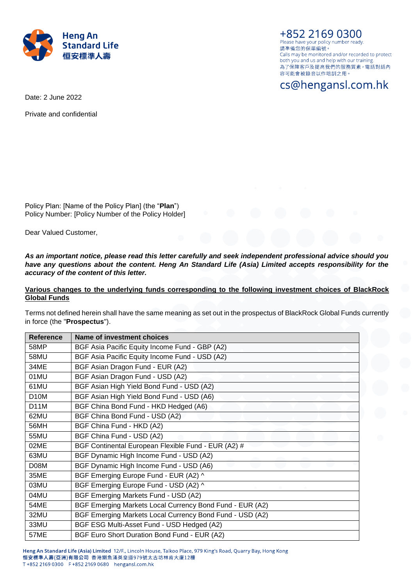

+852 2169 0300 Please have your policy number ready. 請凖備您的保單編號。 Calls may be monitored and/or recorded to protect both you and us and help with our training. 為了保障客戶及提高我們的服務質素,電話對話內 容可能會被錄音以作培訓之用。

cs@hengansl.com.hk

Date: 2 June 2022

Private and confidential

Policy Plan: [Name of the Policy Plan] (the "**Plan**") Policy Number: [Policy Number of the Policy Holder]

Dear Valued Customer,

*As an important notice, please read this letter carefully and seek independent professional advice should you have any questions about the content. Heng An Standard Life (Asia) Limited accepts responsibility for the accuracy of the content of this letter.*

# **Various changes to the underlying funds corresponding to the following investment choices of BlackRock Global Funds**

Terms not defined herein shall have the same meaning as set out in the prospectus of BlackRock Global Funds currently in force (the "**Prospectus**").

| <b>Reference</b>  | Name of investment choices                               |
|-------------------|----------------------------------------------------------|
| 58MP              | BGF Asia Pacific Equity Income Fund - GBP (A2)           |
| 58MU              | BGF Asia Pacific Equity Income Fund - USD (A2)           |
| 34ME              | BGF Asian Dragon Fund - EUR (A2)                         |
| 01MU              | BGF Asian Dragon Fund - USD (A2)                         |
| 61MU              | BGF Asian High Yield Bond Fund - USD (A2)                |
| D <sub>10</sub> M | BGF Asian High Yield Bond Fund - USD (A6)                |
| D <sub>1</sub> 1M | BGF China Bond Fund - HKD Hedged (A6)                    |
| 62MU              | BGF China Bond Fund - USD (A2)                           |
| 56MH              | BGF China Fund - HKD (A2)                                |
| 55MU              | BGF China Fund - USD (A2)                                |
| 02ME              | BGF Continental European Flexible Fund - EUR (A2) #      |
| 63MU              | BGF Dynamic High Income Fund - USD (A2)                  |
| D08M              | BGF Dynamic High Income Fund - USD (A6)                  |
| 35ME              | BGF Emerging Europe Fund - EUR (A2) ^                    |
| 03MU              | BGF Emerging Europe Fund - USD (A2) ^                    |
| 04MU              | BGF Emerging Markets Fund - USD (A2)                     |
| <b>54ME</b>       | BGF Emerging Markets Local Currency Bond Fund - EUR (A2) |
| 32MU              | BGF Emerging Markets Local Currency Bond Fund - USD (A2) |
| 33MU              | BGF ESG Multi-Asset Fund - USD Hedged (A2)               |
| 57ME              | BGF Euro Short Duration Bond Fund - EUR (A2)             |

Heng An Standard Life (Asia) Limited 12/F., Lincoln House, Taikoo Place, 979 King's Road, Quarry Bay, Hong Kong 恒安標準人壽(亞洲)有限公司 香港鰂魚涌英皇道979號太古坊林肯大廈12樓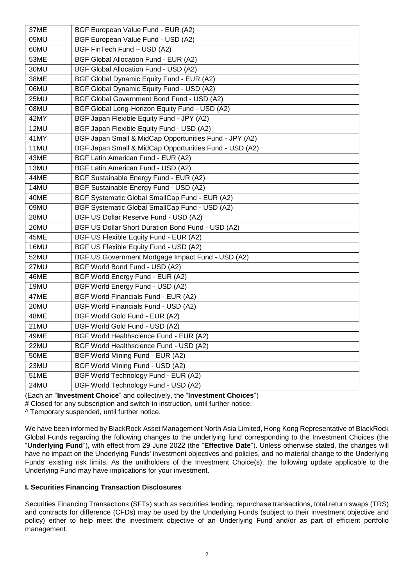| 37ME | BGF European Value Fund - EUR (A2)                     |
|------|--------------------------------------------------------|
| 05MU | BGF European Value Fund - USD (A2)                     |
| 60MU | BGF FinTech Fund - USD (A2)                            |
| 53ME | BGF Global Allocation Fund - EUR (A2)                  |
| 30MU | BGF Global Allocation Fund - USD (A2)                  |
| 38ME | BGF Global Dynamic Equity Fund - EUR (A2)              |
| 06MU | BGF Global Dynamic Equity Fund - USD (A2)              |
| 25MU | BGF Global Government Bond Fund - USD (A2)             |
| 08MU | BGF Global Long-Horizon Equity Fund - USD (A2)         |
| 42MY | BGF Japan Flexible Equity Fund - JPY (A2)              |
| 12MU | BGF Japan Flexible Equity Fund - USD (A2)              |
| 41MY | BGF Japan Small & MidCap Opportunities Fund - JPY (A2) |
| 11MU | BGF Japan Small & MidCap Opportunities Fund - USD (A2) |
| 43ME | BGF Latin American Fund - EUR (A2)                     |
| 13MU | BGF Latin American Fund - USD (A2)                     |
| 44ME | BGF Sustainable Energy Fund - EUR (A2)                 |
| 14MU | BGF Sustainable Energy Fund - USD (A2)                 |
| 40ME | BGF Systematic Global SmallCap Fund - EUR (A2)         |
| 09MU | BGF Systematic Global SmallCap Fund - USD (A2)         |
| 28MU | BGF US Dollar Reserve Fund - USD (A2)                  |
| 26MU | BGF US Dollar Short Duration Bond Fund - USD (A2)      |
| 45ME | BGF US Flexible Equity Fund - EUR (A2)                 |
| 16MU | BGF US Flexible Equity Fund - USD (A2)                 |
| 52MU | BGF US Government Mortgage Impact Fund - USD (A2)      |
| 27MU | BGF World Bond Fund - USD (A2)                         |
| 46ME | BGF World Energy Fund - EUR (A2)                       |
| 19MU | BGF World Energy Fund - USD (A2)                       |
| 47ME | BGF World Financials Fund - EUR (A2)                   |
| 20MU | BGF World Financials Fund - USD (A2)                   |
| 48ME | BGF World Gold Fund - EUR (A2)                         |
| 21MU | BGF World Gold Fund - USD (A2)                         |
| 49ME | BGF World Healthscience Fund - EUR (A2)                |
| 22MU | BGF World Healthscience Fund - USD (A2)                |
| 50ME | BGF World Mining Fund - EUR (A2)                       |
| 23MU | BGF World Mining Fund - USD (A2)                       |
| 51ME | BGF World Technology Fund - EUR (A2)                   |
| 24MU | BGF World Technology Fund - USD (A2)                   |

(Each an "**Investment Choice**" and collectively, the "**Investment Choices**")

# Closed for any subscription and switch-in instruction, until further notice.

^ Temporary suspended, until further notice.

We have been informed by BlackRock Asset Management North Asia Limited, Hong Kong Representative of BlackRock Global Funds regarding the following changes to the underlying fund corresponding to the Investment Choices (the "**Underlying Fund**"), with effect from 29 June 2022 (the "**Effective Date**"). Unless otherwise stated, the changes will have no impact on the Underlying Funds' investment objectives and policies, and no material change to the Underlying Funds' existing risk limits. As the unitholders of the Investment Choice(s), the following update applicable to the Underlying Fund may have implications for your investment.

## **I. Securities Financing Transaction Disclosures**

Securities Financing Transactions (SFTs) such as securities lending, repurchase transactions, total return swaps (TRS) and contracts for difference (CFDs) may be used by the Underlying Funds (subject to their investment objective and policy) either to help meet the investment objective of an Underlying Fund and/or as part of efficient portfolio management.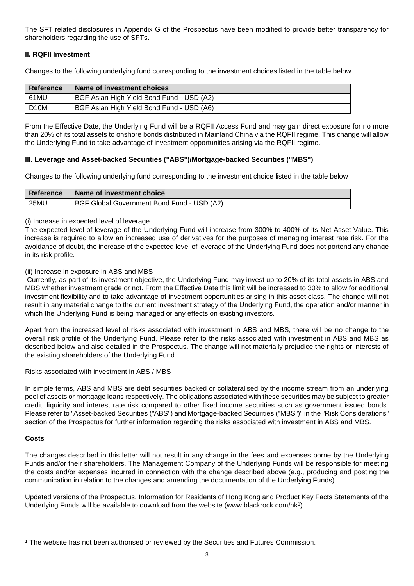The SFT related disclosures in Appendix G of the Prospectus have been modified to provide better transparency for shareholders regarding the use of SFTs.

# **II. RQFII Investment**

Changes to the following underlying fund corresponding to the investment choices listed in the table below

| <b>Reference</b>  | Name of investment choices                |
|-------------------|-------------------------------------------|
| 61MU              | BGF Asian High Yield Bond Fund - USD (A2) |
| D <sub>10</sub> M | BGF Asian High Yield Bond Fund - USD (A6) |

From the Effective Date, the Underlying Fund will be a RQFII Access Fund and may gain direct exposure for no more than 20% of its total assets to onshore bonds distributed in Mainland China via the RQFII regime. This change will allow the Underlying Fund to take advantage of investment opportunities arising via the RQFII regime.

# **III. Leverage and Asset-backed Securities ("ABS")/Mortgage-backed Securities ("MBS")**

Changes to the following underlying fund corresponding to the investment choice listed in the table below

| Reference | Name of investment choice                  |
|-----------|--------------------------------------------|
| 25MU      | BGF Global Government Bond Fund - USD (A2) |

## (i) Increase in expected level of leverage

The expected level of leverage of the Underlying Fund will increase from 300% to 400% of its Net Asset Value. This increase is required to allow an increased use of derivatives for the purposes of managing interest rate risk. For the avoidance of doubt, the increase of the expected level of leverage of the Underlying Fund does not portend any change in its risk profile.

## (ii) Increase in exposure in ABS and MBS

Currently, as part of its investment objective, the Underlying Fund may invest up to 20% of its total assets in ABS and MBS whether investment grade or not. From the Effective Date this limit will be increased to 30% to allow for additional investment flexibility and to take advantage of investment opportunities arising in this asset class. The change will not result in any material change to the current investment strategy of the Underlying Fund, the operation and/or manner in which the Underlying Fund is being managed or any effects on existing investors.

Apart from the increased level of risks associated with investment in ABS and MBS, there will be no change to the overall risk profile of the Underlying Fund. Please refer to the risks associated with investment in ABS and MBS as described below and also detailed in the Prospectus. The change will not materially prejudice the rights or interests of the existing shareholders of the Underlying Fund.

Risks associated with investment in ABS / MBS

In simple terms, ABS and MBS are debt securities backed or collateralised by the income stream from an underlying pool of assets or mortgage loans respectively. The obligations associated with these securities may be subject to greater credit, liquidity and interest rate risk compared to other fixed income securities such as government issued bonds. Please refer to "Asset-backed Securities ("ABS") and Mortgage-backed Securities ("MBS")" in the "Risk Considerations" section of the Prospectus for further information regarding the risks associated with investment in ABS and MBS.

# **Costs**

 $\overline{a}$ 

The changes described in this letter will not result in any change in the fees and expenses borne by the Underlying Funds and/or their shareholders. The Management Company of the Underlying Funds will be responsible for meeting the costs and/or expenses incurred in connection with the change described above (e.g., producing and posting the communication in relation to the changes and amending the documentation of the Underlying Funds).

Updated versions of the Prospectus, Information for Residents of Hong Kong and Product Key Facts Statements of the Underlying Funds will be available to download from the website (www.blackrock.com/hk1)

<sup>1</sup> The website has not been authorised or reviewed by the Securities and Futures Commission.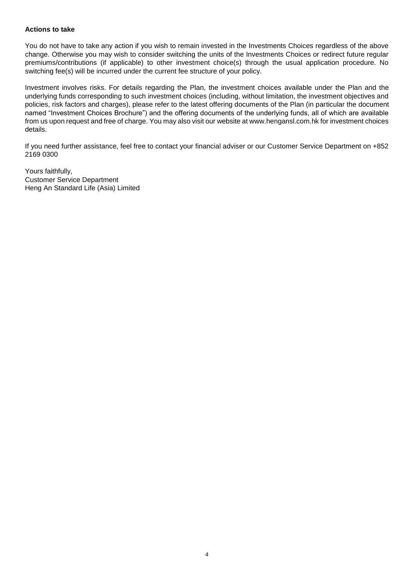### **Actions to take**

You do not have to take any action if you wish to remain invested in the Investments Choices regardless of the above change. Otherwise you may wish to consider switching the units of the Investments Choices or redirect future regular premiums/contributions (if applicable) to other investment choice(s) through the usual application procedure. No switching fee(s) will be incurred under the current fee structure of your policy.

Investment involves risks. For details regarding the Plan, the investment choices available under the Plan and the underlying funds corresponding to such investment choices (including, without limitation, the investment objectives and policies, risk factors and charges), please refer to the latest offering documents of the Plan (in particular the document named "Investment Choices Brochure") and the offering documents of the underlying funds, all of which are available from us upon request and free of charge. You may also visit our website at www.hengansl.com.hk for investment choices details.

If you need further assistance, feel free to contact your financial adviser or our Customer Service Department on +852 2169 0300

Yours faithfully, Customer Service Department Heng An Standard Life (Asia) Limited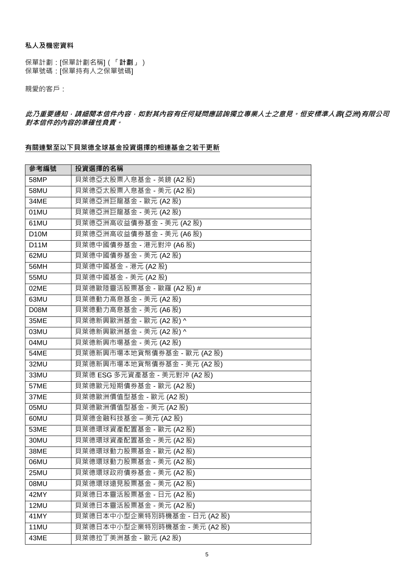### **私人及機密資料**

保單計劃:[保單計劃名稱](「**計劃**」) 保單號碼:[保單持有人之保單號碼]

親愛的客戶:

**此乃重要通知,請細閱本信件內容,如對其內容有任何疑問應諮詢獨立專業人士之意見。恒安標準人壽***(***亞洲***)***有限公司 對本信件的內容的準確性負責。**

## **有關連繫至以下貝萊德全球基金投資選擇的相連基金之若干更新**

| 參考編號              | 投資選擇的名稱                      |
|-------------------|------------------------------|
| 58MP              | 貝萊德亞太股票入息基金 - 英鎊 (A2股)       |
| 58MU              | 貝萊德亞太股票入息基金 - 美元 (A2 股)      |
| 34ME              | 貝萊德亞洲巨龍基金 - 歐元 (A2股)         |
| 01MU              | 貝萊德亞洲巨龍基金 - 美元 (A2 股)        |
| 61MU              | 貝萊德亞洲高收益債券基金 - 美元 (A2 股)     |
| D <sub>10</sub> M | 貝萊德亞洲高收益債券基金 - 美元 (A6 股)     |
| D <sub>1</sub> 1M | 貝萊德中國債券基金 - 港元對沖 (A6 股)      |
| 62MU              | 貝萊德中國債券基金 - 美元 (A2 股)        |
| 56MH              | 貝萊德中國基金 - 港元 (A2股)           |
| 55MU              | 貝萊德中國基金 - 美元 (A2 股)          |
| 02ME              | 貝萊德歐陸靈活股票基金 - 歐羅 (A2股) #     |
| 63MU              | 貝萊德動力高息基金 - 美元 (A2 股)        |
| D08M              | 貝萊德動力高息基金 - 美元 (A6 股)        |
| 35ME              | 貝萊德新興歐洲基金 - 歐元 (A2股) ^       |
| 03MU              | 貝萊德新興歐洲基金 - 美元 (A2 股) ^      |
| 04MU              | 貝萊德新興市場基金 - 美元 (A2 股)        |
| <b>54ME</b>       | 貝萊德新興市場本地貨幣債券基金 - 歐元 (A2 股)  |
| 32MU              | 貝萊德新興市場本地貨幣債券基金 - 美元 (A2 股)  |
| 33MU              | 貝萊德 ESG 多元資產基金 - 美元對沖 (A2股)  |
| 57ME              | 貝萊德歐元短期債券基金 - 歐元 (A2股)       |
| 37ME              | 貝萊德歐洲價值型基金 - 歐元 (A2 股)       |
| 05MU              | 貝萊德歐洲價值型基金 - 美元 (A2 股)       |
| 60MU              | 貝萊德金融科技基金 – 美元 (A2 股)        |
| 53ME              | 貝萊德環球資產配置基金 - 歐元 (A2 股)      |
| 30MU              | 貝萊德環球資產配置基金 - 美元 (A2 股)      |
| 38ME              | 貝萊德環球動力股票基金 - 歐元 (A2股)       |
| 06MU              | 貝萊德環球動力股票基金 - 美元 (A2 股)      |
| 25MU              | 貝萊德環球政府債券基金 - 美元 (A2 股)      |
| 08MU              | 貝萊德環球遠見股票基金 - 美元 (A2 股)      |
| 42MY              | 貝萊德日本靈活股票基金 - 日元 (A2股)       |
| 12MU              | 貝萊德日本靈活股票基金 - 美元 (A2 股)      |
| 41MY              | 貝萊德日本中小型企業特別時機基金 - 日元 (A2 股) |
| 11MU              | 貝萊德日本中小型企業特別時機基金 - 美元 (A2 股) |
| 43ME              | 貝萊德拉丁美洲基金 - 歐元 (A2 股)        |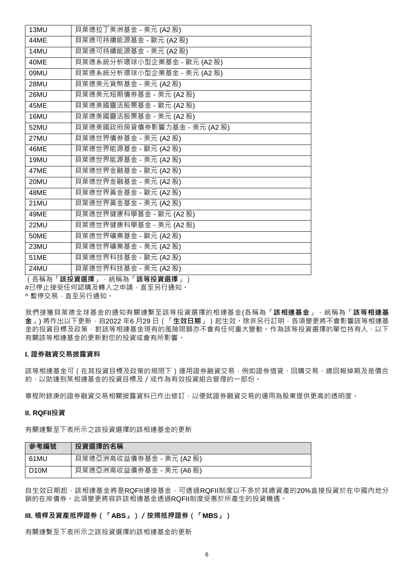| 13MU        | 貝萊德拉丁美洲基金 - 美元 (A2 股)        |
|-------------|------------------------------|
| 44ME        | 貝萊德可持續能源基金 - 歐元 (A2股)        |
| 14MU        | 貝萊德可持續能源基金 - 美元 (A2 股)       |
| 40ME        | 貝萊德系統分析環球小型企業基金 - 歐元 (A2 股)  |
| 09MU        | 貝萊德系統分析環球小型企業基金 - 美元 (A2 股)  |
| 28MU        | 貝萊德美元貨幣基金 - 美元 (A2 股)        |
| 26MU        | 貝萊德美元短期債券基金 - 美元 (A2 股)      |
| 45ME        | 貝萊德美國靈活股票基金 - 歐元 (A2 股)      |
| 16MU        | 貝萊德美國靈活股票基金 - 美元 (A2 股)      |
| 52MU        | 貝萊德美國政府房貸債券影響力基金 - 美元 (A2 股) |
| 27MU        | 貝萊德世界債券基金 - 美元 (A2 股)        |
| 46ME        | 貝萊德世界能源基金 - 歐元 (A2 股)        |
| 19MU        | 貝萊德世界能源基金 - 美元 (A2 股)        |
| 47ME        | 貝萊德世界金融基金 - 歐元 (A2股)         |
| 20MU        | 貝萊德世界金融基金 - 美元 (A2股)         |
| 48ME        | 貝萊德世界黃金基金 - 歐元 (A2 股)        |
| 21MU        | 貝萊德世界黃金基金 - 美元 (A2 股)        |
| 49ME        | 貝萊德世界健康科學基金 - 歐元 (A2 股)      |
| 22MU        | 貝萊德世界健康科學基金 - 美元 (A2 股)      |
| <b>50ME</b> | 貝萊德世界礦業基金 - 歐元 (A2 股)        |
| 23MU        | 貝萊德世界礦業基金 - 美元 (A2 股)        |
| <b>51ME</b> | 貝萊德世界科技基金 - 歐元 (A2 股)        |
| 24MU        | 貝萊德世界科技基金 - 美元 (A2 股)        |

**選擇」<sup>,</sup>統稱為「該等投資選擇」)** #已停止接受任何認購及轉入之申請,直至另行通知。 ^ 暫停交易,直至另行通知。

我們接獲貝萊德全球基金的通知有關連繫至該等投資選擇的相連基金(各稱為「**該相連基金**」,統稱為「**該等相連基** 金」) 將作出以下更新, 自2022 年6 月29 日 ( 「生效日期」) 起生效。除非另行訂明, 各項變更將不會影響該等相連基 金的投資目標及政策,對該等相連基金現有的風險限額亦不會有任何重大變動。作為該等投資選擇的單位持有人,以下 有關該等相連基金的更新對您的投資或會有所影響。

#### **I. 證券融資交易披露資料**

該等相連基金可(在其投資目標及政策的規限下)運用證券融資交易,例如證券借貸、回購交易、總回報掉期及差價合 約,以助達到某相連基金的投資目標及/或作為有效投資組合管理的一部份。

章程附錄庚的證券融資交易相關披露資料已作出修訂,以便就證券融資交易的運用為股東提供更高的透明度。

#### **II. RQFII投資**

有關連繫至下表所示之該投資選擇的該相連基金的更新

| 參考編號              | 投資選擇的名稱                  |
|-------------------|--------------------------|
| 61MU              | 貝萊德亞洲高收益債券基金 - 美元 (A2 股) |
| D <sub>10</sub> M | 貝萊德亞洲高收益債券基金 - 美元 (A6 股) |

自生效日期起,該相連基金將是RQFII連接基金,可透過RQFII制度以不多於其總資產的20%直接投資於在中國內地分 銷的在岸債券。此項變更將容許該相連基金透過RQFII制度受惠於所產生的投資機遇。

### **III. 槓桿及資產抵押證券(「ABS」)/按揭抵押證券(「MBS」)**

有關連繫至下表所示之該投資選擇的該相連基金的更新